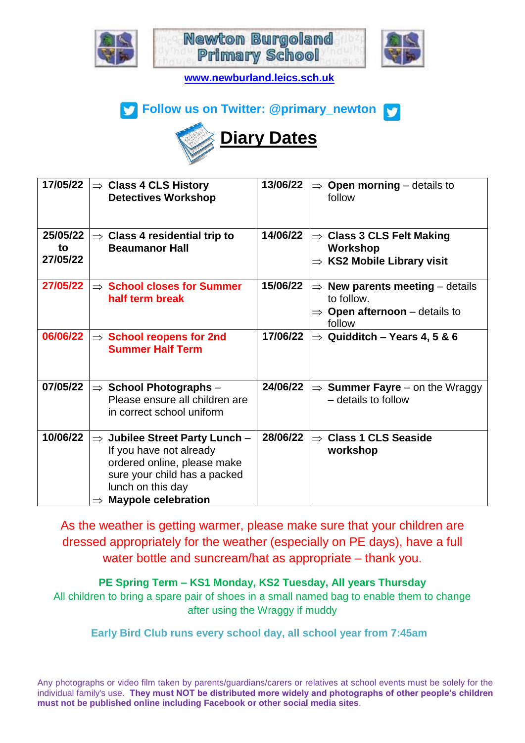





**[www.newburland.leics.sch.uk](http://www.newburland.leics.sch.uk/)**





| 17/05/22                   | $\Rightarrow$ Class 4 CLS History<br><b>Detectives Workshop</b>                                                                                                                                   | 13/06/22<br><b>Open morning</b> $-$ details to<br>$\Rightarrow$<br>follow                                                         |
|----------------------------|---------------------------------------------------------------------------------------------------------------------------------------------------------------------------------------------------|-----------------------------------------------------------------------------------------------------------------------------------|
| 25/05/22<br>to<br>27/05/22 | <b>Class 4 residential trip to</b><br>$\Rightarrow$<br><b>Beaumanor Hall</b>                                                                                                                      | 14/06/22<br>$\Rightarrow$ Class 3 CLS Felt Making<br><b>Workshop</b><br>$\Rightarrow$ KS2 Mobile Library visit                    |
| 27/05/22                   | $\Rightarrow$ School closes for Summer<br>half term break                                                                                                                                         | 15/06/22<br>New parents meeting $-$ details<br>$\Rightarrow$<br>to follow.<br>$\Rightarrow$ Open afternoon – details to<br>follow |
| 06/06/22                   | $\Rightarrow$ School reopens for 2nd<br><b>Summer Half Term</b>                                                                                                                                   | 17/06/22<br>$\Rightarrow$ Quidditch - Years 4, 5 & 6                                                                              |
| 07/05/22                   | $\Rightarrow$ School Photographs -<br>Please ensure all children are<br>in correct school uniform                                                                                                 | 24/06/22<br>$\Rightarrow$ Summer Fayre – on the Wraggy<br>- details to follow                                                     |
| 10/06/22                   | Jubilee Street Party Lunch -<br>$\Rightarrow$<br>If you have not already<br>ordered online, please make<br>sure your child has a packed<br>lunch on this day<br>$\Rightarrow$ Maypole celebration | 28/06/22<br><b>Class 1 CLS Seaside</b><br>$\Rightarrow$<br>workshop                                                               |

As the weather is getting warmer, please make sure that your children are dressed appropriately for the weather (especially on PE days), have a full water bottle and suncream/hat as appropriate – thank you.

**PE Spring Term – KS1 Monday, KS2 Tuesday, All years Thursday**

All children to bring a spare pair of shoes in a small named bag to enable them to change after using the Wraggy if muddy

**Early Bird Club runs every school day, all school year from 7:45am**

Any photographs or video film taken by parents/guardians/carers or relatives at school events must be solely for the individual family's use. **They must NOT be distributed more widely and photographs of other people's children must not be published online including Facebook or other social media sites**.